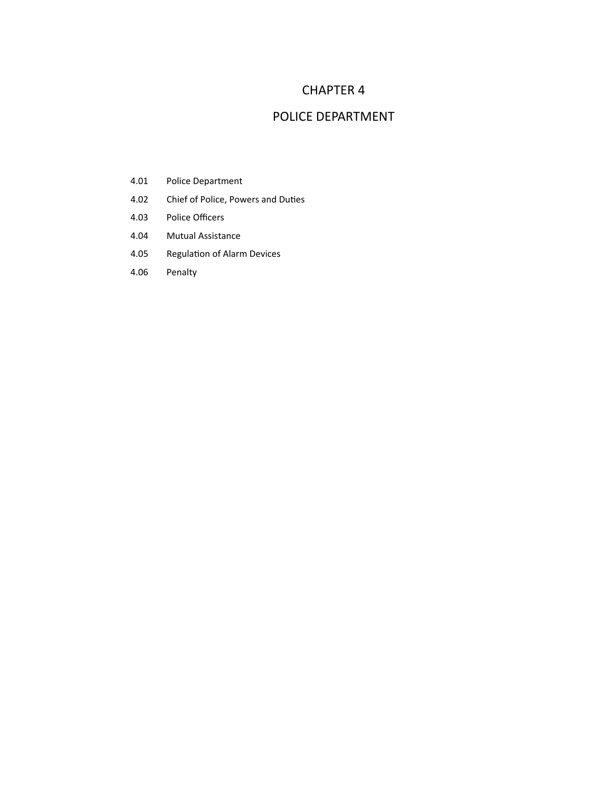## CHAPTER 4

## POLICE DEPARTMENT

- 4.01 Police Department
- 4.02 Chief of Police, Powers and Duties
- 4.03 Police Officers
- 4.04 Mutual Assistance
- 4.05 Regulation of Alarm Devices
- 4.06 Penalty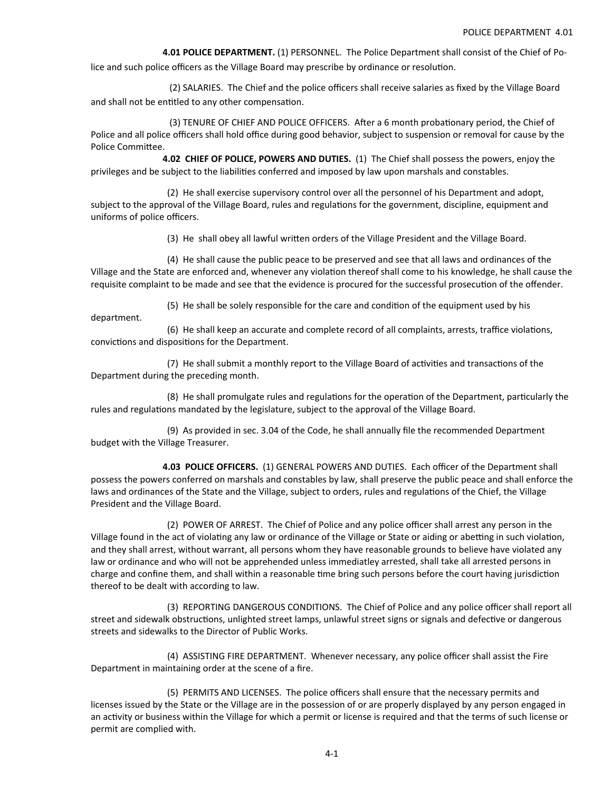**4.01 POLICE DEPARTMENT.** (1) PERSONNEL. The Police Department shall consist of the Chief of Po‐

lice and such police officers as the Village Board may prescribe by ordinance or resolution.

 (2) SALARIES. The Chief and the police officers shall receive salaries as fixed by the Village Board and shall not be entitled to any other compensation.

(3) TENURE OF CHIEF AND POLICE OFFICERS. After a 6 month probationary period, the Chief of Police and all police officers shall hold office during good behavior, subject to suspension or removal for cause by the Police Committee.

 **4.02 CHIEF OF POLICE, POWERS AND DUTIES.** (1) The Chief shall possess the powers, enjoy the privileges and be subject to the liabilities conferred and imposed by law upon marshals and constables.

 (2) He shall exercise supervisory control over all the personnel of his Department and adopt, subject to the approval of the Village Board, rules and regulations for the government, discipline, equipment and uniforms of police officers.

(3) He shall obey all lawful written orders of the Village President and the Village Board.

 (4) He shall cause the public peace to be preserved and see that all laws and ordinances of the Village and the State are enforced and, whenever any violation thereof shall come to his knowledge, he shall cause the requisite complaint to be made and see that the evidence is procured for the successful prosecution of the offender.

(5) He shall be solely responsible for the care and condition of the equipment used by his

department.

(6) He shall keep an accurate and complete record of all complaints, arrests, traffice violations, convictions and dispositions for the Department.

(7) He shall submit a monthly report to the Village Board of activities and transactions of the Department during the preceding month.

(8) He shall promulgate rules and regulations for the operation of the Department, particularly the rules and regulations mandated by the legislature, subject to the approval of the Village Board.

 (9) As provided in sec. 3.04 of the Code, he shall annually file the recommended Department budget with the Village Treasurer.

 **4.03 POLICE OFFICERS.** (1) GENERAL POWERS AND DUTIES. Each officer of the Department shall possess the powers conferred on marshals and constables by law, shall preserve the public peace and shall enforce the laws and ordinances of the State and the Village, subject to orders, rules and regulations of the Chief, the Village President and the Village Board.

 (2) POWER OF ARREST. The Chief of Police and any police officer shall arrest any person in the Village found in the act of violating any law or ordinance of the Village or State or aiding or abetting in such violation, and they shall arrest, without warrant, all persons whom they have reasonable grounds to believe have violated any law or ordinance and who will not be apprehended unless immediatley arrested, shall take all arrested persons in charge and confine them, and shall within a reasonable time bring such persons before the court having jurisdiction thereof to be dealt with according to law.

 (3) REPORTING DANGEROUS CONDITIONS. The Chief of Police and any police officer shall report all street and sidewalk obstructions, unlighted street lamps, unlawful street signs or signals and defective or dangerous streets and sidewalks to the Director of Public Works.

 (4) ASSISTING FIRE DEPARTMENT. Whenever necessary, any police officer shall assist the Fire Department in maintaining order at the scene of a fire.

 (5) PERMITS AND LICENSES. The police officers shall ensure that the necessary permits and licenses issued by the State or the Village are in the possession of or are properly displayed by any person engaged in an activity or business within the Village for which a permit or license is required and that the terms of such license or permit are complied with.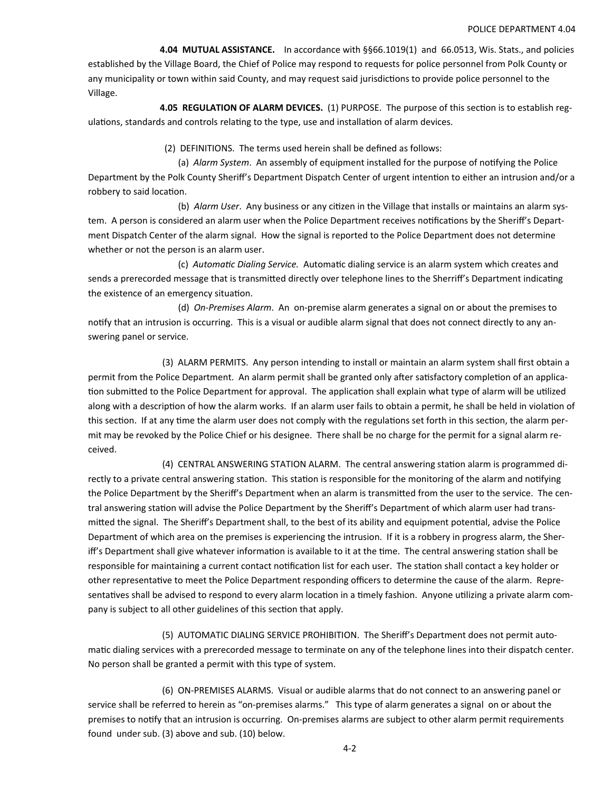**4.04 MUTUAL ASSISTANCE.** In accordance with §§66.1019(1) and 66.0513, Wis. Stats., and policies established by the Village Board, the Chief of Police may respond to requests for police personnel from Polk County or any municipality or town within said County, and may request said jurisdictions to provide police personnel to the Village.

4.05 REGULATION OF ALARM DEVICES. (1) PURPOSE. The purpose of this section is to establish regulations, standards and controls relating to the type, use and installation of alarm devices.

(2) DEFINITIONS. The terms used herein shall be defined as follows:

(a) *Alarm System.* An assembly of equipment installed for the purpose of notifying the Police Department by the Polk County Sheriff's Department Dispatch Center of urgent intention to either an intrusion and/or a robbery to said location.

(b) Alarm User. Any business or any citizen in the Village that installs or maintains an alarm system. A person is considered an alarm user when the Police Department receives notifications by the Sheriff's Department Dispatch Center of the alarm signal. How the signal is reported to the Police Department does not determine whether or not the person is an alarm user.

 (c) *AutomaƟc Dialing Service.* AutomaƟc dialing service is an alarm system which creates and sends a prerecorded message that is transmitted directly over telephone lines to the Sherriff's Department indicating the existence of an emergency situation.

 (d) *On‐Premises Alarm*. An on‐premise alarm generates a signal on or about the premises to notify that an intrusion is occurring. This is a visual or audible alarm signal that does not connect directly to any answering panel or service.

 (3) ALARM PERMITS. Any person intending to install or maintain an alarm system shall first obtain a permit from the Police Department. An alarm permit shall be granted only after satisfactory completion of an application submitted to the Police Department for approval. The application shall explain what type of alarm will be utilized along with a description of how the alarm works. If an alarm user fails to obtain a permit, he shall be held in violation of this section. If at any time the alarm user does not comply with the regulations set forth in this section, the alarm permit may be revoked by the Police Chief or his designee. There shall be no charge for the permit for a signal alarm re‐ ceived.

(4) CENTRAL ANSWERING STATION ALARM. The central answering station alarm is programmed directly to a private central answering station. This station is responsible for the monitoring of the alarm and notifying the Police Department by the Sheriff's Department when an alarm is transmitted from the user to the service. The central answering station will advise the Police Department by the Sheriff's Department of which alarm user had transmitted the signal. The Sheriff's Department shall, to the best of its ability and equipment potential, advise the Police Department of which area on the premises is experiencing the intrusion. If it is a robbery in progress alarm, the Sheriff's Department shall give whatever information is available to it at the time. The central answering station shall be responsible for maintaining a current contact notification list for each user. The station shall contact a key holder or other representative to meet the Police Department responding officers to determine the cause of the alarm. Representatives shall be advised to respond to every alarm location in a timely fashion. Anyone utilizing a private alarm company is subject to all other guidelines of this section that apply.

 (5) AUTOMATIC DIALING SERVICE PROHIBITION. The Sheriff's Department does not permit auto‐ matic dialing services with a prerecorded message to terminate on any of the telephone lines into their dispatch center. No person shall be granted a permit with this type of system.

 (6) ON‐PREMISES ALARMS. Visual or audible alarms that do not connect to an answering panel or service shall be referred to herein as "on-premises alarms." This type of alarm generates a signal on or about the premises to notify that an intrusion is occurring. On-premises alarms are subject to other alarm permit requirements found under sub. (3) above and sub. (10) below.